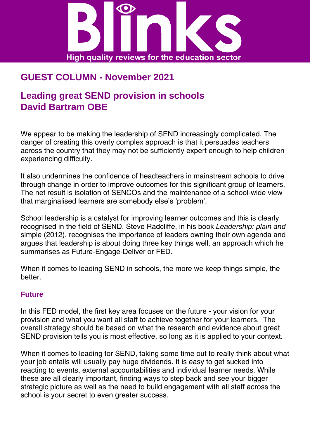

# **GUEST COLUMN - November 2021**

## **Leading great SEND provision in schools David Bartram OBE**

We appear to be making the leadership of SEND increasingly complicated. The danger of creating this overly complex approach is that it persuades teachers across the country that they may not be sufficiently expert enough to help children experiencing difficulty.

It also undermines the confidence of headteachers in mainstream schools to drive through change in order to improve outcomes for this significant group of learners. The net result is isolation of SENCOs and the maintenance of a school-wide view that marginalised learners are somebody else's 'problem'.

School leadership is a catalyst for improving learner outcomes and this is clearly recognised in the field of SEND. Steve Radcliffe, in his book *Leadership: plain and* simple (2012), recognises the importance of leaders owning their own agenda and argues that leadership is about doing three key things well, an approach which he summarises as Future-Engage-Deliver or FED.

When it comes to leading SEND in schools, the more we keep things simple, the better.

#### **Future**

In this FED model, the first key area focuses on the future - your vision for your provision and what you want all staff to achieve together for your learners. The overall strategy should be based on what the research and evidence about great SEND provision tells you is most effective, so long as it is applied to your context.

When it comes to leading for SEND, taking some time out to really think about what your job entails will usually pay huge dividends. It is easy to get sucked into reacting to events, external accountabilities and individual learner needs. While these are all clearly important, finding ways to step back and see your bigger strategic picture as well as the need to build engagement with all staff across the school is your secret to even greater success.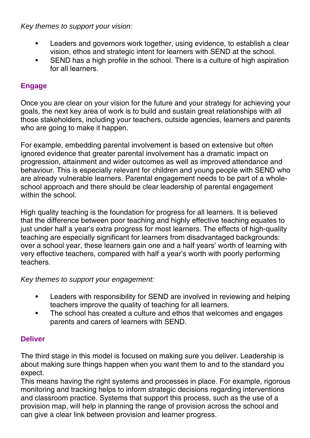*Key themes to support your vision:* 

- Leaders and governors work together, using evidence, to establish a clear vision, ethos and strategic intent for learners with SEND at the school.
- SEND has a high profile in the school. There is a culture of high aspiration for all learners.

### **Engage**

Once you are clear on your vision for the future and your strategy for achieving your goals, the next key area of work is to build and sustain great relationships with all those stakeholders, including your teachers, outside agencies, learners and parents who are going to make it happen.

For example, embedding parental involvement is based on extensive but often ignored evidence that greater parental involvement has a dramatic impact on progression, attainment and wider outcomes as well as improved attendance and behaviour. This is especially relevant for children and young people with SEND who are already vulnerable learners. Parental engagement needs to be part of a wholeschool approach and there should be clear leadership of parental engagement within the school.

High quality teaching is the foundation for progress for all learners. It is believed that the difference between poor teaching and highly effective teaching equates to just under half a year's extra progress for most learners. The effects of high-quality teaching are especially significant for learners from disadvantaged backgrounds: over a school year, these learners gain one and a half years' worth of learning with very effective teachers, compared with half a year's worth with poorly performing teachers.

*Key themes to support your engagement:* 

- Leaders with responsibility for SEND are involved in reviewing and helping teachers improve the quality of teaching for all learners.
- The school has created a culture and ethos that welcomes and engages parents and carers of learners with SEND.

### **Deliver**

The third stage in this model is focused on making sure you deliver. Leadership is about making sure things happen when you want them to and to the standard you expect.

This means having the right systems and processes in place. For example, rigorous monitoring and tracking helps to inform strategic decisions regarding interventions and classroom practice. Systems that support this process, such as the use of a provision map, will help in planning the range of provision across the school and can give a clear link between provision and learner progress.